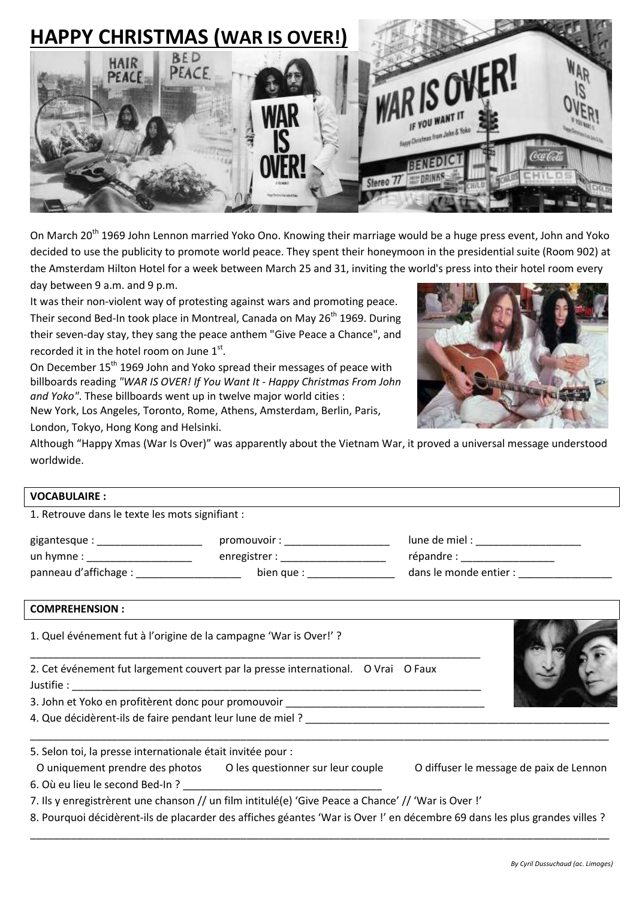

On March 20<sup>th</sup> 1969 John Lennon married Yoko Ono. Knowing their marriage would be a huge press event, John and Yoko decided to use the publicity to promote [world peace.](http://en.wikipedia.org/wiki/World_peace) They spent their honeymoon in the presidential suite (Room 902) at the [Amsterdam Hilton Hotel](http://en.wikipedia.org/wiki/Amsterdam_Hilton_Hotel) for a week between March 25 and 31, inviting the world's press into their hotel room every day between 9 a.m. and 9 p.m.

It was their non-violent way of protesting against wars and promoting peace. Their second Bed-In took place in Montreal, Canada on May 26<sup>th</sup> 1969. During their seven-day stay, they sang the peace anthem ["Give Peace a Chance"](http://en.wikipedia.org/wiki/Give_Peace_a_Chance), and recorded it in the hotel room on June  $1<sup>st</sup>$ .

On December 15<sup>th</sup> 1969 John and Yoko spread their messages of peace with billboards reading *"WAR IS OVER! If You Want It - Happy Christmas From John and Yoko"*. These billboards went up in twelve major world cities :

New York, Los Angeles, Toronto, Rome, Athens, Amsterdam, Berlin, Paris,



Although "Happy Xmas (War Is Over)" was apparently about the Vietnam War, it proved a universal message understood worldwide.

## **VOCABULAIRE :**

1. Retrouve dans le texte les mots signifiant :

London, Tokyo, Hong Kong and Helsinki.

| gigantesque :         | promouvoir:   | lune de miel :         |
|-----------------------|---------------|------------------------|
| un hymne :            | enregistrer : | répandre :             |
| panneau d'affichage : | bien que :    | dans le monde entier : |

## **COMPREHENSION :**

1. Quel événement fut à l'origine de la campagne 'War is Over!' ?

2. Cet événement fut largement couvert par la presse international. O Vrai O Faux Justifie : \_\_\_\_\_\_\_\_\_\_\_\_\_\_\_\_\_\_\_\_\_\_\_\_\_\_\_\_\_\_\_\_\_\_\_\_\_\_\_\_\_\_\_\_\_\_\_\_\_\_\_\_\_\_\_\_\_\_\_\_\_\_\_\_\_\_\_\_\_\_

\_\_\_\_\_\_\_\_\_\_\_\_\_\_\_\_\_\_\_\_\_\_\_\_\_\_\_\_\_\_\_\_\_\_\_\_\_\_\_\_\_\_\_\_\_\_\_\_\_\_\_\_\_\_\_\_\_\_\_\_\_\_\_\_\_\_\_\_\_\_\_\_\_\_\_\_\_

3. John et Yoko en profitèrent donc pour promouvoir

4. Que décidèrent-ils de faire pendant leur lune de miel ?

5. Selon toi, la presse internationale était invitée pour :

O uniquement prendre des photos O les questionner sur leur couple O diffuser le message de paix de Lennon 6. Où eu lieu le second Bed-In ?

7. Ils y enregistrèrent une chanson // un film intitulé(e) 'Give Peace a Chance' // 'War is Over !'

8. Pourquoi décidèrent-ils de placarder des affiches géantes 'War is Over !' en décembre 69 dans les plus grandes villes ? \_\_\_\_\_\_\_\_\_\_\_\_\_\_\_\_\_\_\_\_\_\_\_\_\_\_\_\_\_\_\_\_\_\_\_\_\_\_\_\_\_\_\_\_\_\_\_\_\_\_\_\_\_\_\_\_\_\_\_\_\_\_\_\_\_\_\_\_\_\_\_\_\_\_\_\_\_\_\_\_\_\_\_\_\_\_\_\_\_\_\_\_\_\_\_\_\_\_\_

\_\_\_\_\_\_\_\_\_\_\_\_\_\_\_\_\_\_\_\_\_\_\_\_\_\_\_\_\_\_\_\_\_\_\_\_\_\_\_\_\_\_\_\_\_\_\_\_\_\_\_\_\_\_\_\_\_\_\_\_\_\_\_\_\_\_\_\_\_\_\_\_\_\_\_\_\_\_\_\_\_\_\_\_\_\_\_\_\_\_\_\_\_\_\_\_\_\_\_